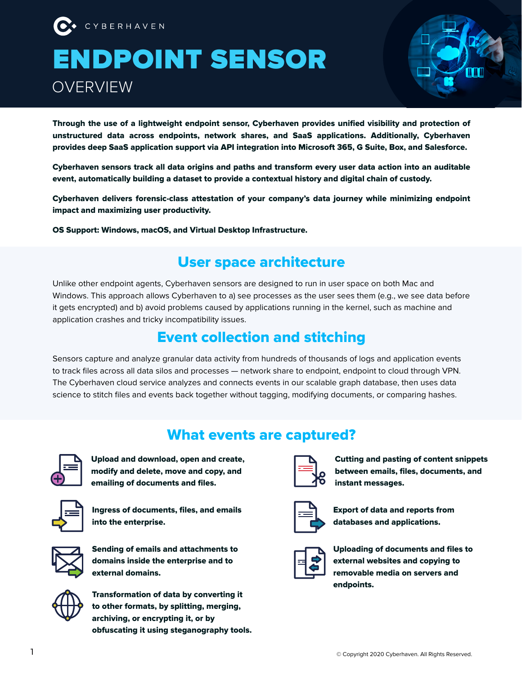

# ENDPOINT SENSOR OVERVIEW



Through the use of a lightweight endpoint sensor, Cyberhaven provides unified visibility and protection of unstructured data across endpoints, network shares, and SaaS applications. Additionally, Cyberhaven provides deep SaaS application support via API integration into Microsoft 365, G Suite, Box, and Salesforce.

Cyberhaven sensors track all data origins and paths and transform every user data action into an auditable event, automatically building a dataset to provide a contextual history and digital chain of custody.

Cyberhaven delivers forensic-class attestation of your company's data journey while minimizing endpoint impact and maximizing user productivity.

OS Support: Windows, macOS, and Virtual Desktop Infrastructure.

#### User space architecture

Unlike other endpoint agents, Cyberhaven sensors are designed to run in user space on both Mac and Windows. This approach allows Cyberhaven to a) see processes as the user sees them (e.g., we see data before it gets encrypted) and b) avoid problems caused by applications running in the kernel, such as machine and application crashes and tricky incompatibility issues.

## Event collection and stitching

Sensors capture and analyze granular data activity from hundreds of thousands of logs and application events to track files across all data silos and processes — network share to endpoint, endpoint to cloud through VPN. The Cyberhaven cloud service analyzes and connects events in our scalable graph database, then uses data science to stitch files and events back together without tagging, modifying documents, or comparing hashes.



What events are captured?

Upload and download, open and create, modify and delete, move and copy, and emailing of documents and files.



Ingress of documents, files, and emails into the enterprise.



Sending of emails and attachments to domains inside the enterprise and to external domains.



Transformation of data by converting it to other formats, by splitting, merging, archiving, or encrypting it, or by obfuscating it using steganography tools.



Cutting and pasting of content snippets between emails, files, documents, and instant messages.



Export of data and reports from databases and applications.



Uploading of documents and files to external websites and copying to removable media on servers and endpoints.